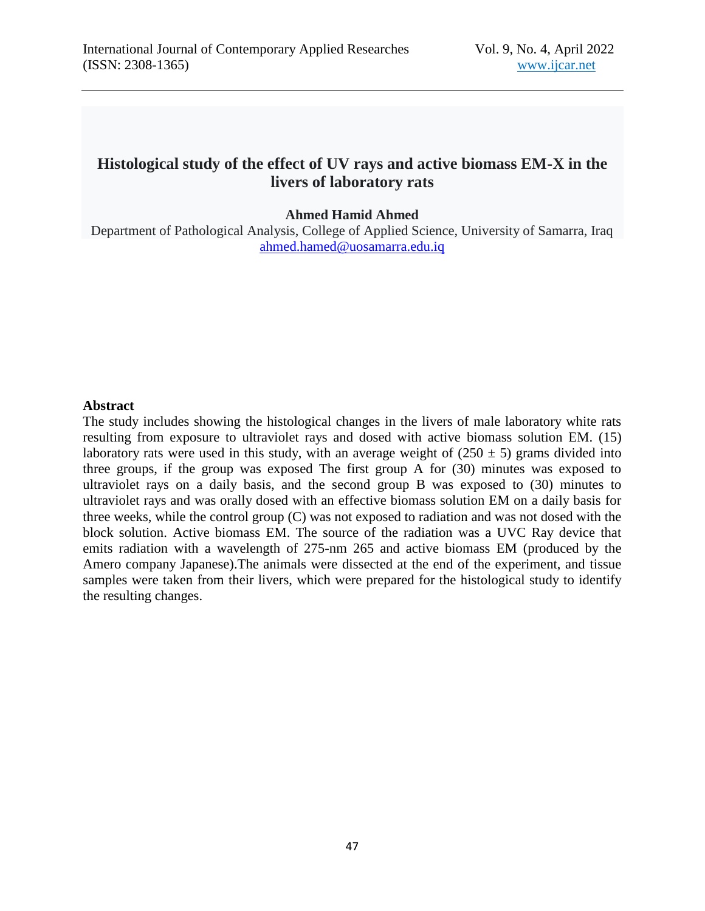# **Histological study of the effect of UV rays and active biomass EM-X in the livers of laboratory rats**

**Ahmed Hamid Ahmed**

Department of Pathological Analysis, College of Applied Science, University of Samarra, Iraq [ahmed.hamed@uosamarra.edu.iq](mailto:ahmed.hamed@uosamarra.edu.iq)

#### **Abstract**

The study includes showing the histological changes in the livers of male laboratory white rats resulting from exposure to ultraviolet rays and dosed with active biomass solution EM. (15) laboratory rats were used in this study, with an average weight of  $(250 \pm 5)$  grams divided into three groups, if the group was exposed The first group A for (30) minutes was exposed to ultraviolet rays on a daily basis, and the second group B was exposed to (30) minutes to ultraviolet rays and was orally dosed with an effective biomass solution EM on a daily basis for three weeks, while the control group (C) was not exposed to radiation and was not dosed with the block solution. Active biomass EM. The source of the radiation was a UVC Ray device that emits radiation with a wavelength of 275-nm 265 and active biomass EM (produced by the Amero company Japanese).The animals were dissected at the end of the experiment, and tissue samples were taken from their livers, which were prepared for the histological study to identify the resulting changes.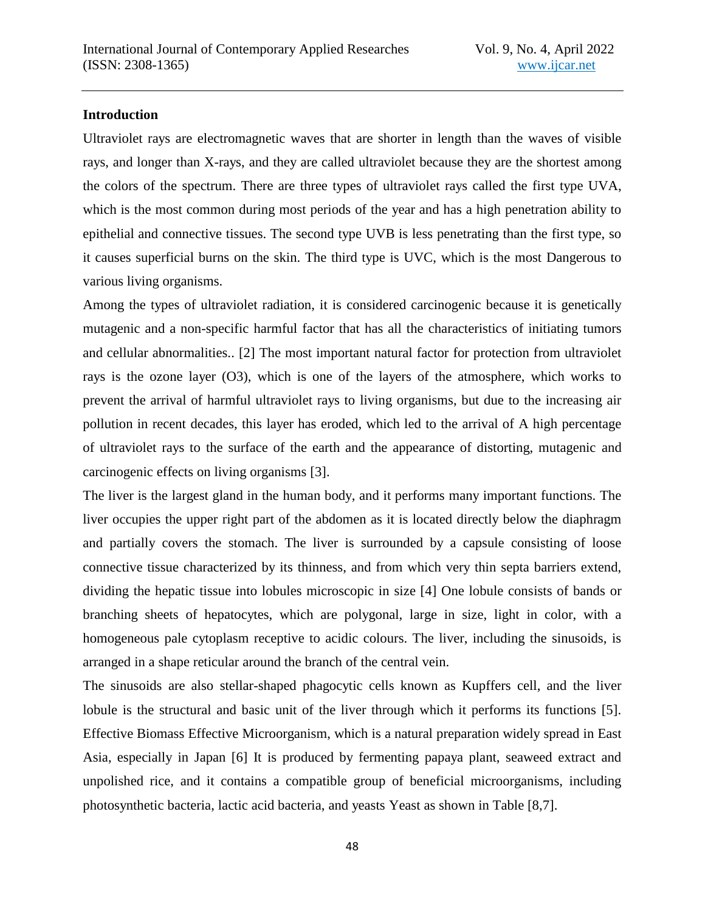## **Introduction**

Ultraviolet rays are electromagnetic waves that are shorter in length than the waves of visible rays, and longer than X-rays, and they are called ultraviolet because they are the shortest among the colors of the spectrum. There are three types of ultraviolet rays called the first type UVA, which is the most common during most periods of the year and has a high penetration ability to epithelial and connective tissues. The second type UVB is less penetrating than the first type, so it causes superficial burns on the skin. The third type is UVC, which is the most Dangerous to various living organisms.

Among the types of ultraviolet radiation, it is considered carcinogenic because it is genetically mutagenic and a non-specific harmful factor that has all the characteristics of initiating tumors and cellular abnormalities.. [2] The most important natural factor for protection from ultraviolet rays is the ozone layer (O3), which is one of the layers of the atmosphere, which works to prevent the arrival of harmful ultraviolet rays to living organisms, but due to the increasing air pollution in recent decades, this layer has eroded, which led to the arrival of A high percentage of ultraviolet rays to the surface of the earth and the appearance of distorting, mutagenic and carcinogenic effects on living organisms [3].

The liver is the largest gland in the human body, and it performs many important functions. The liver occupies the upper right part of the abdomen as it is located directly below the diaphragm and partially covers the stomach. The liver is surrounded by a capsule consisting of loose connective tissue characterized by its thinness, and from which very thin septa barriers extend, dividing the hepatic tissue into lobules microscopic in size [4] One lobule consists of bands or branching sheets of hepatocytes, which are polygonal, large in size, light in color, with a homogeneous pale cytoplasm receptive to acidic colours. The liver, including the sinusoids, is arranged in a shape reticular around the branch of the central vein.

The sinusoids are also stellar-shaped phagocytic cells known as Kupffers cell, and the liver lobule is the structural and basic unit of the liver through which it performs its functions [5]. Effective Biomass Effective Microorganism, which is a natural preparation widely spread in East Asia, especially in Japan [6] It is produced by fermenting papaya plant, seaweed extract and unpolished rice, and it contains a compatible group of beneficial microorganisms, including photosynthetic bacteria, lactic acid bacteria, and yeasts Yeast as shown in Table [8,7].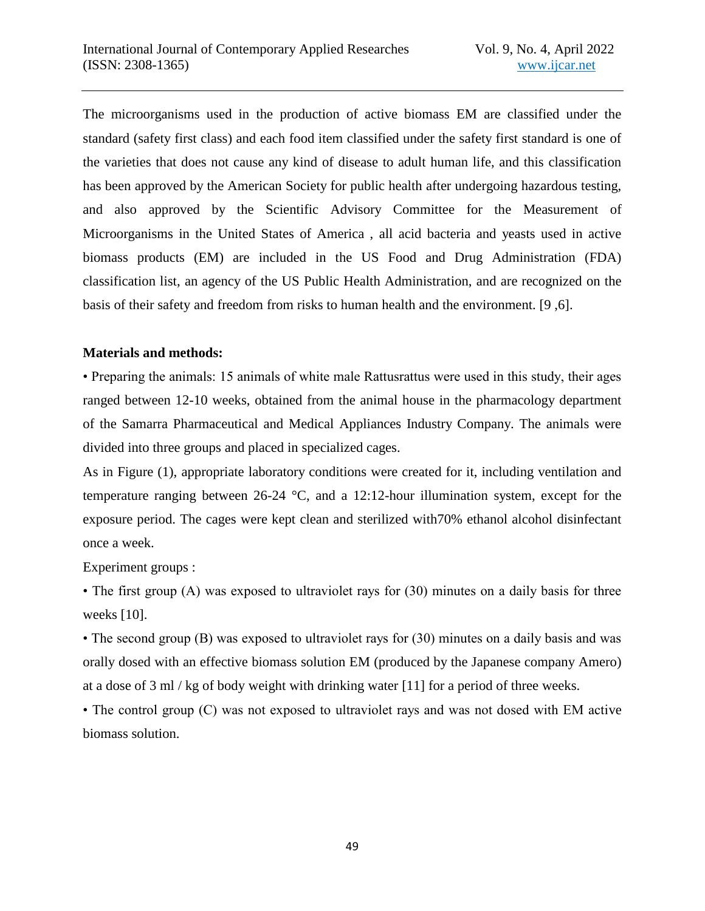The microorganisms used in the production of active biomass EM are classified under the standard (safety first class) and each food item classified under the safety first standard is one of the varieties that does not cause any kind of disease to adult human life, and this classification has been approved by the American Society for public health after undergoing hazardous testing, and also approved by the Scientific Advisory Committee for the Measurement of Microorganisms in the United States of America , all acid bacteria and yeasts used in active biomass products (EM) are included in the US Food and Drug Administration (FDA) classification list, an agency of the US Public Health Administration, and are recognized on the basis of their safety and freedom from risks to human health and the environment. [9 ,6].

## **Materials and methods:**

• Preparing the animals: 15 animals of white male Rattusrattus were used in this study, their ages ranged between 12-10 weeks, obtained from the animal house in the pharmacology department of the Samarra Pharmaceutical and Medical Appliances Industry Company. The animals were divided into three groups and placed in specialized cages.

As in Figure (1), appropriate laboratory conditions were created for it, including ventilation and temperature ranging between 26-24 °C, and a 12:12-hour illumination system, except for the exposure period. The cages were kept clean and sterilized with70% ethanol alcohol disinfectant once a week.

Experiment groups :

• The first group (A) was exposed to ultraviolet rays for (30) minutes on a daily basis for three weeks [10].

• The second group (B) was exposed to ultraviolet rays for (30) minutes on a daily basis and was orally dosed with an effective biomass solution EM (produced by the Japanese company Amero) at a dose of 3 ml / kg of body weight with drinking water [11] for a period of three weeks.

• The control group (C) was not exposed to ultraviolet rays and was not dosed with EM active biomass solution.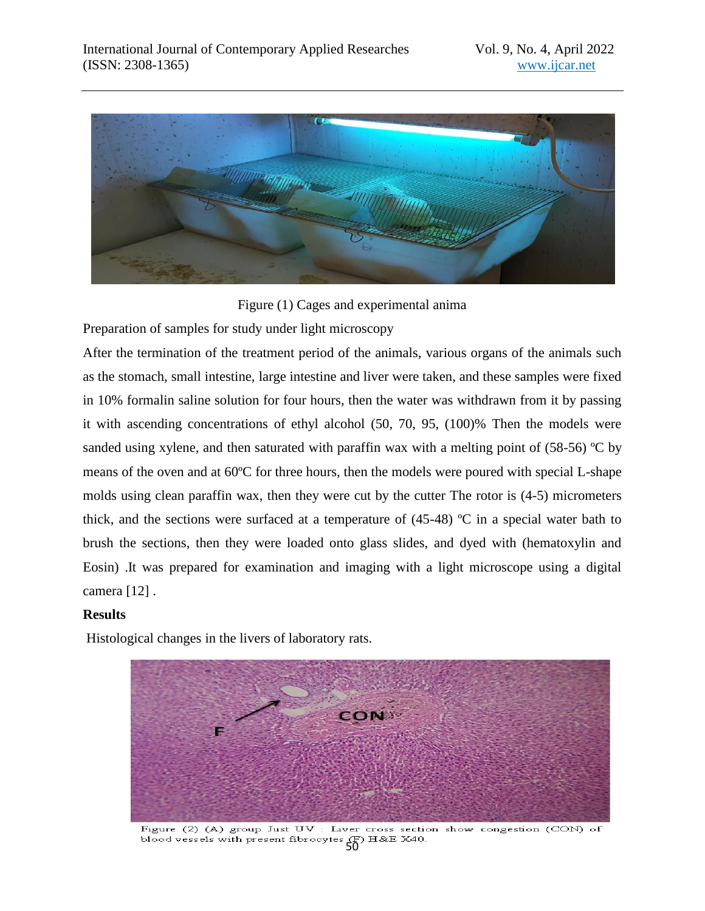

Figure (1) Cages and experimental anima

Preparation of samples for study under light microscopy

After the termination of the treatment period of the animals, various organs of the animals such as the stomach, small intestine, large intestine and liver were taken, and these samples were fixed in 10% formalin saline solution for four hours, then the water was withdrawn from it by passing it with ascending concentrations of ethyl alcohol (50, 70, 95, (100)% Then the models were sanded using xylene, and then saturated with paraffin wax with a melting point of  $(58-56)$  °C by means of the oven and at 60ºC for three hours, then the models were poured with special L-shape molds using clean paraffin wax, then they were cut by the cutter The rotor is (4-5) micrometers thick, and the sections were surfaced at a temperature of (45-48) ºC in a special water bath to brush the sections, then they were loaded onto glass slides, and dyed with (hematoxylin and Eosin) .It was prepared for examination and imaging with a light microscope using a digital camera [12] .

# **Results**

Histological changes in the livers of laboratory rats.



Figure (2) (A) group Just UV : Liver cross section show congestion (CON) of blood vessels with present fibrocytes  $(F)$  H&E X40.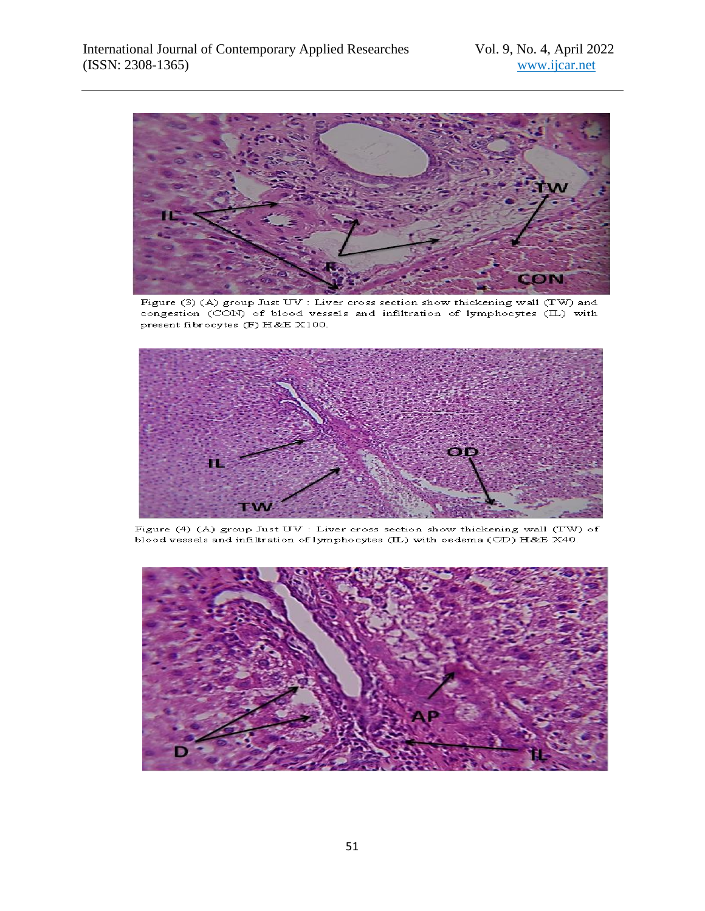

Figure (3) (A) group Just UV : Liver cross section show thickening wall (TW) and congestion (CON) of blood vessels and infiltration of lymphocytes (IL) with present fibrocytes (F) H&E X100.



Figure (4) (A) group Just  $UV$  : Liver cross section show thickening wall (TW) of blood vessels and infiltration of lymphocytes (IL) with oedema (OD) H&E X40.

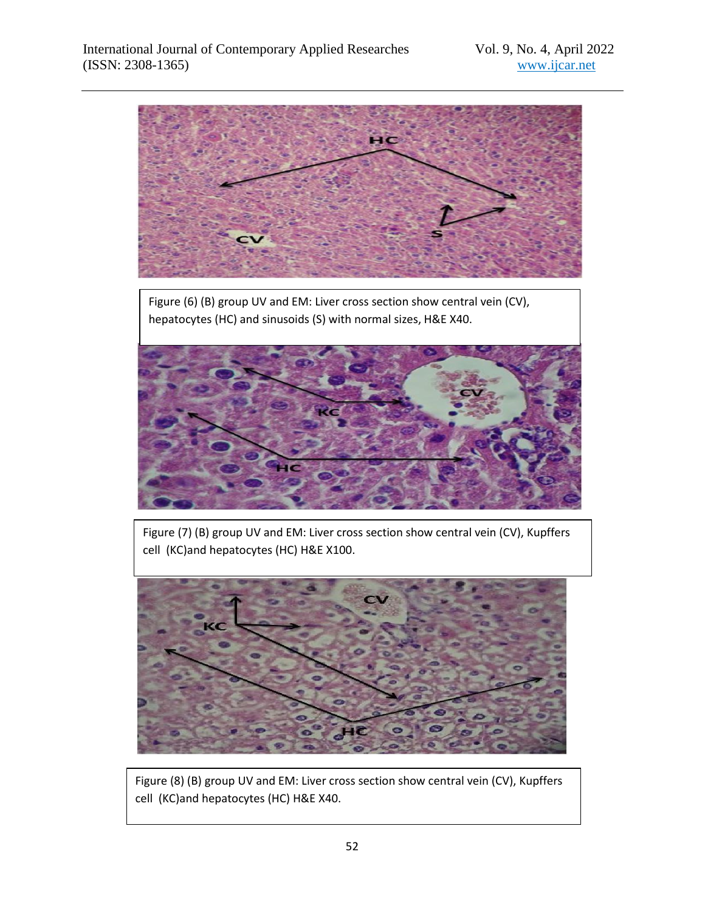

cell (KC)and hepatocytes (HC) H&E X100.



Figure (8) (B) group UV and EM: Liver cross section show central vein (CV), Kupffers cell (KC)and hepatocytes (HC) H&E X40.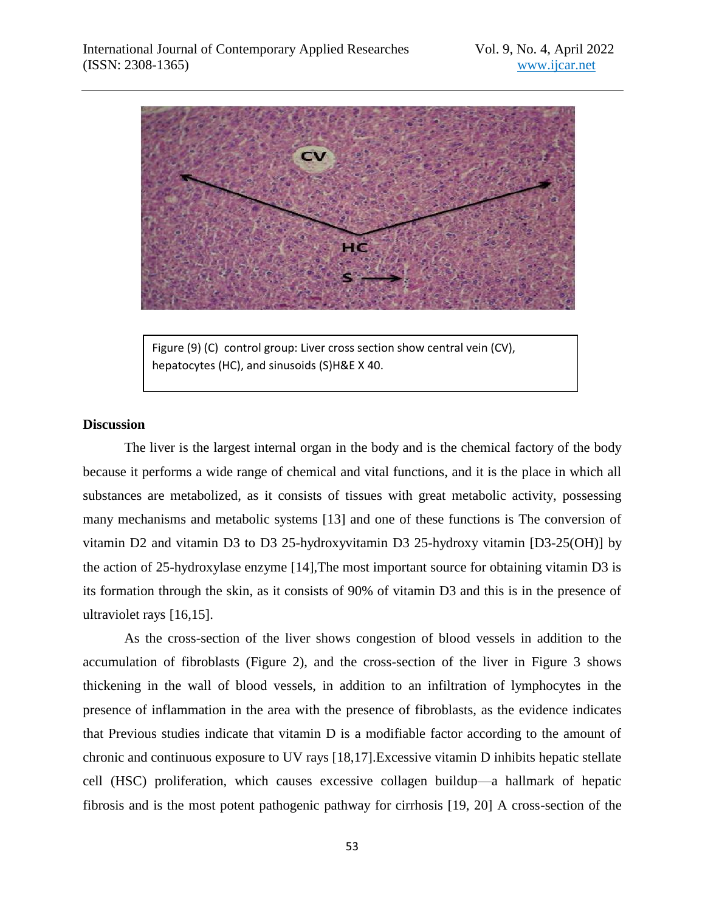

Figure (9) (C) control group: Liver cross section show central vein (CV), hepatocytes (HC), and sinusoids (S)H&E X 40.

#### **Discussion**

The liver is the largest internal organ in the body and is the chemical factory of the body because it performs a wide range of chemical and vital functions, and it is the place in which all substances are metabolized, as it consists of tissues with great metabolic activity, possessing many mechanisms and metabolic systems [13] and one of these functions is The conversion of vitamin D2 and vitamin D3 to D3 25-hydroxyvitamin D3 25-hydroxy vitamin [D3-25(OH)] by the action of 25-hydroxylase enzyme [14],The most important source for obtaining vitamin D3 is its formation through the skin, as it consists of 90% of vitamin D3 and this is in the presence of ultraviolet rays [16,15].

As the cross-section of the liver shows congestion of blood vessels in addition to the accumulation of fibroblasts (Figure 2), and the cross-section of the liver in Figure 3 shows thickening in the wall of blood vessels, in addition to an infiltration of lymphocytes in the presence of inflammation in the area with the presence of fibroblasts, as the evidence indicates that Previous studies indicate that vitamin D is a modifiable factor according to the amount of chronic and continuous exposure to UV rays [18,17].Excessive vitamin D inhibits hepatic stellate cell (HSC) proliferation, which causes excessive collagen buildup—a hallmark of hepatic fibrosis and is the most potent pathogenic pathway for cirrhosis [19, 20] A cross-section of the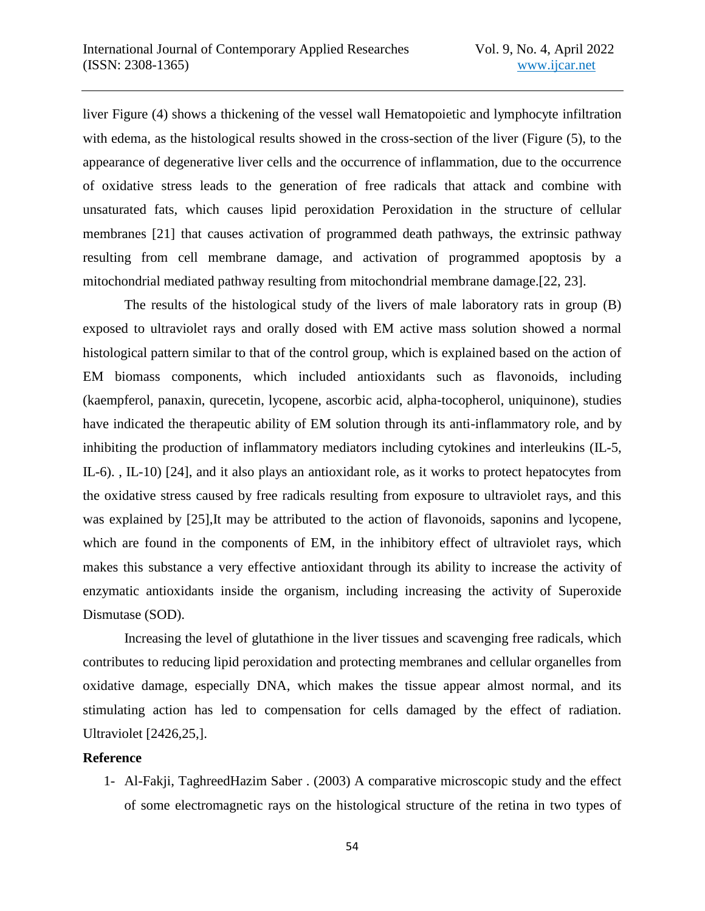liver Figure (4) shows a thickening of the vessel wall Hematopoietic and lymphocyte infiltration with edema, as the histological results showed in the cross-section of the liver (Figure (5), to the appearance of degenerative liver cells and the occurrence of inflammation, due to the occurrence of oxidative stress leads to the generation of free radicals that attack and combine with unsaturated fats, which causes lipid peroxidation Peroxidation in the structure of cellular membranes [21] that causes activation of programmed death pathways, the extrinsic pathway resulting from cell membrane damage, and activation of programmed apoptosis by a mitochondrial mediated pathway resulting from mitochondrial membrane damage.[22, 23].

The results of the histological study of the livers of male laboratory rats in group (B) exposed to ultraviolet rays and orally dosed with EM active mass solution showed a normal histological pattern similar to that of the control group, which is explained based on the action of EM biomass components, which included antioxidants such as flavonoids, including (kaempferol, panaxin, qurecetin, lycopene, ascorbic acid, alpha-tocopherol, uniquinone), studies have indicated the therapeutic ability of EM solution through its anti-inflammatory role, and by inhibiting the production of inflammatory mediators including cytokines and interleukins (IL-5, IL-6). , IL-10) [24], and it also plays an antioxidant role, as it works to protect hepatocytes from the oxidative stress caused by free radicals resulting from exposure to ultraviolet rays, and this was explained by [25],It may be attributed to the action of flavonoids, saponins and lycopene, which are found in the components of EM, in the inhibitory effect of ultraviolet rays, which makes this substance a very effective antioxidant through its ability to increase the activity of enzymatic antioxidants inside the organism, including increasing the activity of Superoxide Dismutase (SOD).

Increasing the level of glutathione in the liver tissues and scavenging free radicals, which contributes to reducing lipid peroxidation and protecting membranes and cellular organelles from oxidative damage, especially DNA, which makes the tissue appear almost normal, and its stimulating action has led to compensation for cells damaged by the effect of radiation. Ultraviolet [2426,25,].

## **Reference**

1- Al-Fakji, TaghreedHazim Saber . (2003) A comparative microscopic study and the effect of some electromagnetic rays on the histological structure of the retina in two types of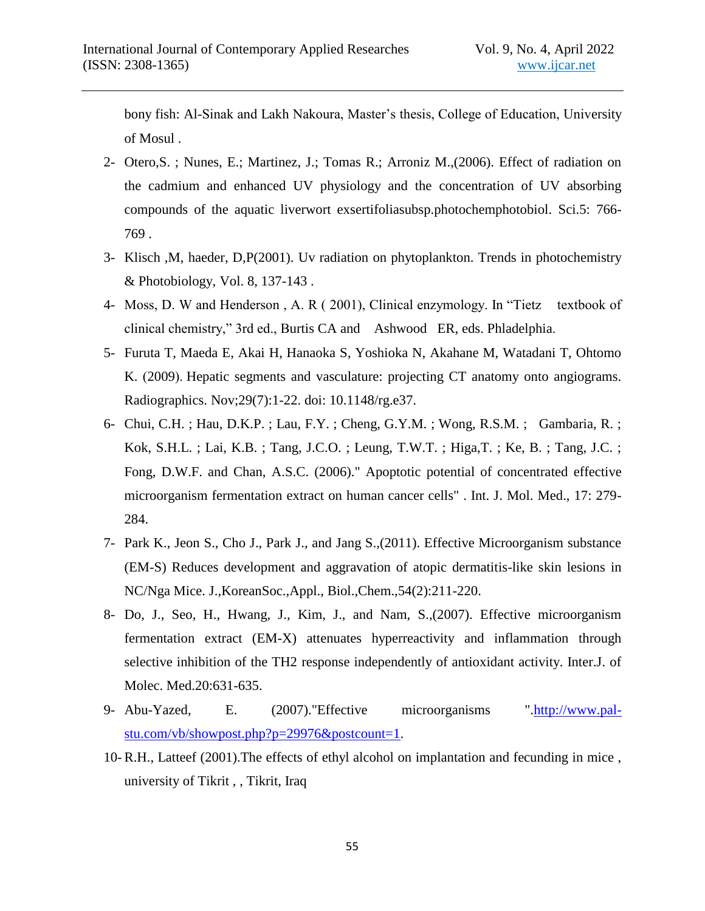bony fish: Al-Sinak and Lakh Nakoura, Master's thesis, College of Education, University of Mosul .

- 2- Otero,S. ; Nunes, E.; Martinez, J.; Tomas R.; Arroniz M.,(2006). Effect of radiation on the cadmium and enhanced UV physiology and the concentration of UV absorbing compounds of the aquatic liverwort exsertifoliasubsp.photochemphotobiol. Sci.5: 766- 769 .
- 3- Klisch ,M, haeder, D,P(2001). Uv radiation on phytoplankton. Trends in photochemistry & Photobiology, Vol. 8, 137-143 .
- 4- Moss, D. W and Henderson, A. R (2001), Clinical enzymology. In "Tietz textbook of clinical chemistry," 3rd ed., Burtis CA and Ashwood ER, eds. Phladelphia.
- 5- Furuta T, Maeda E, Akai H, Hanaoka S, Yoshioka N, Akahane M, Watadani T, Ohtomo K. (2009). Hepatic segments and vasculature: projecting CT anatomy onto angiograms. Radiographics. Nov;29(7):1-22. doi: 10.1148/rg.e37.
- 6- Chui, C.H. ; Hau, D.K.P. ; Lau, F.Y. ; Cheng, G.Y.M. ; Wong, R.S.M. ; Gambaria, R. ; Kok, S.H.L. ; Lai, K.B. ; Tang, J.C.O. ; Leung, T.W.T. ; Higa,T. ; Ke, B. ; Tang, J.C. ; Fong, D.W.F. and Chan, A.S.C. (2006)." Apoptotic potential of concentrated effective microorganism fermentation extract on human cancer cells" . Int. J. Mol. Med., 17: 279- 284.
- 7- Park K., Jeon S., Cho J., Park J., and Jang S.,(2011). Effective Microorganism substance (EM-S) Reduces development and aggravation of atopic dermatitis-like skin lesions in NC/Nga Mice. J.,KoreanSoc.,Appl., Biol.,Chem.,54(2):211-220.
- 8- Do, J., Seo, H., Hwang, J., Kim, J., and Nam, S.,(2007). Effective microorganism fermentation extract (EM-X) attenuates hyperreactivity and inflammation through selective inhibition of the TH2 response independently of antioxidant activity. Inter.J. of Molec. Med.20:631-635.
- 9- Abu-Yazed, E. (2007)."Effective microorganisms "[.http://www.pal](http://www.pal-stu.com/vb/showpost.php?p=29976&postcount=1????????)[stu.com/vb/showpost.php?p=29976&postcount=1.](http://www.pal-stu.com/vb/showpost.php?p=29976&postcount=1????????)
- 10- R.H., Latteef (2001).The effects of ethyl alcohol on implantation and fecunding in mice , university of Tikrit , , Tikrit, Iraq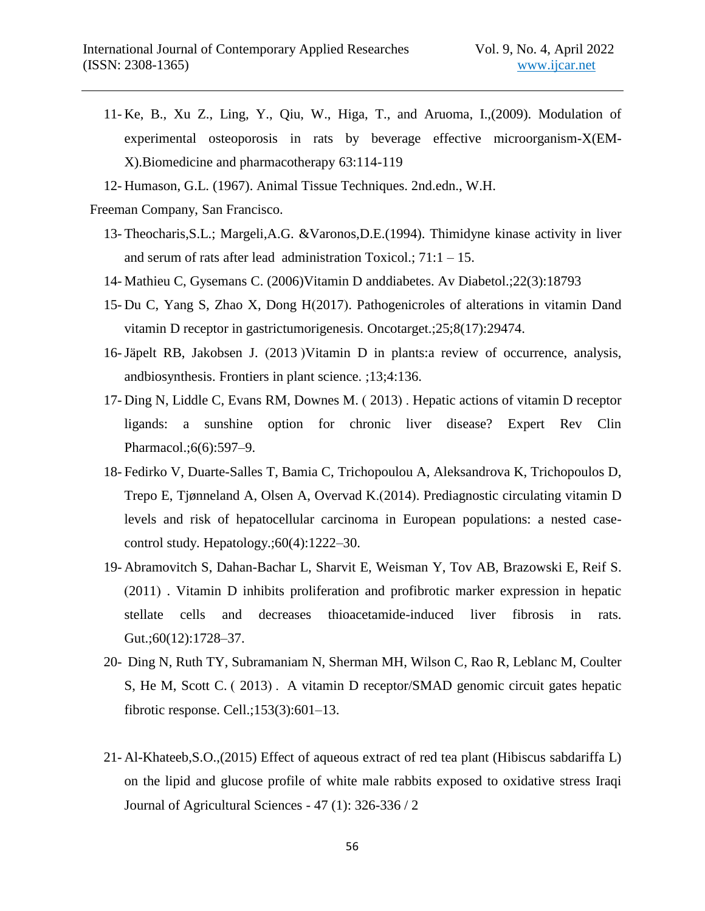- 11- Ke, B., Xu Z., Ling, Y., Qiu, W., Higa, T., and Aruoma, I.,(2009). Modulation of experimental osteoporosis in rats by beverage effective microorganism-X(EM-X).Biomedicine and pharmacotherapy 63:114-119
- 12- Humason, G.L. (1967). Animal Tissue Techniques. 2nd.edn., W.H.
- Freeman Company, San Francisco.
	- 13- Theocharis,S.L.; Margeli,A.G. &Varonos,D.E.(1994). Thimidyne kinase activity in liver and serum of rats after lead administration Toxicol.; 71:1 – 15.
	- 14- Mathieu C, Gysemans C. (2006)Vitamin D anddiabetes. Av Diabetol.;22(3):18793
	- 15- Du C, Yang S, Zhao X, Dong H(2017). Pathogenicroles of alterations in vitamin Dand vitamin D receptor in gastrictumorigenesis. Oncotarget.;25;8(17):29474.
	- 16-Jäpelt RB, Jakobsen J. (2013 ) Vitamin D in plants: a review of occurrence, analysis, andbiosynthesis. Frontiers in plant science. ;13;4:136.
	- 17- Ding N, Liddle C, Evans RM, Downes M. (2013). Hepatic actions of vitamin D receptor ligands: a sunshine option for chronic liver disease? Expert Rev Clin Pharmacol.;6(6):597–9.
	- 18- Fedirko V, Duarte-Salles T, Bamia C, Trichopoulou A, Aleksandrova K, Trichopoulos D, Trepo E, Tjønneland A, Olsen A, Overvad K.(2014). Prediagnostic circulating vitamin D levels and risk of hepatocellular carcinoma in European populations: a nested casecontrol study. Hepatology.;60(4):1222–30.
	- 19- Abramovitch S, Dahan-Bachar L, Sharvit E, Weisman Y, Tov AB, Brazowski E, Reif S.  $(2011)$ . Vitamin D inhibits proliferation and profibrotic marker expression in hepatic stellate cells and decreases thioacetamide-induced liver fibrosis in rats. Gut.;60(12):1728–37.
	- 20- Ding N, Ruth TY, Subramaniam N, Sherman MH, Wilson C, Rao R, Leblanc M, Coulter S, He M, Scott C. (2013). A vitamin D receptor/SMAD genomic circuit gates hepatic fibrotic response. Cell.;153(3):601–13.
	- 21- Al-Khateeb,S.O.,(2015) Effect of aqueous extract of red tea plant (Hibiscus sabdariffa L) on the lipid and glucose profile of white male rabbits exposed to oxidative stress Iraqi Journal of Agricultural Sciences - 47 (1): 326-336 / 2